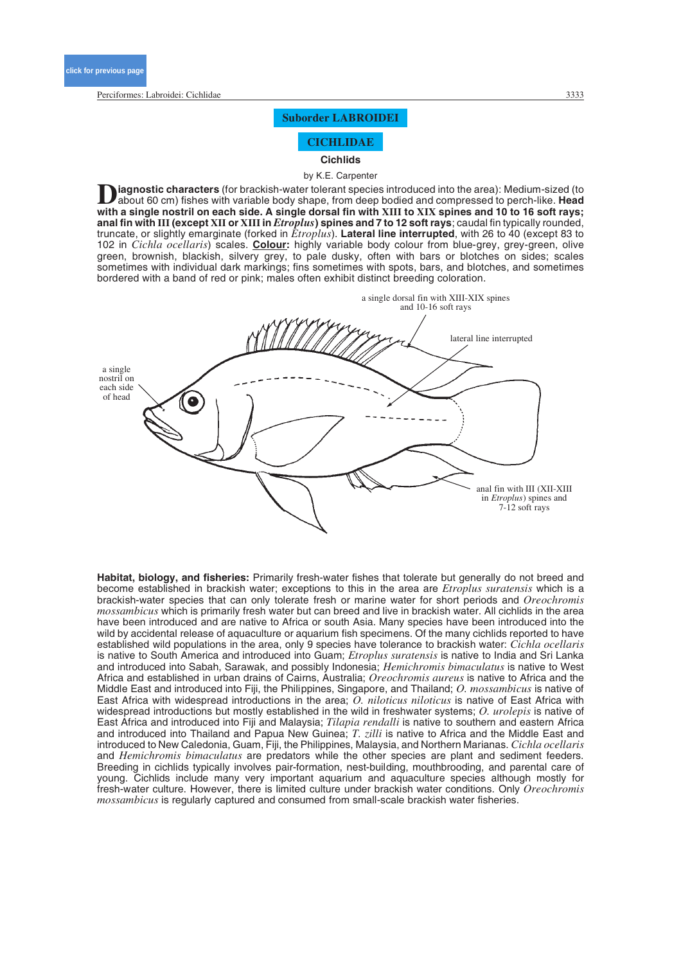# **Suborder LABROIDEI**

**CICHLIDAE**

**Cichlids**

by K.E. Carpenter

**iagnostic characters** (for brackish-water tolerant species introduced into the area): Medium-sized (to about 60 cm) fishes with variable body shape, from deep bodied and compressed to perch-like. **Head with a single nostril on each side. A single dorsal fin with XIII to XIX spines and 10 to 16 soft rays; anal fin with III (except XII or XIIIin** *Etroplus***) spines and 7 to 12 soft rays**; caudal fin typically rounded, truncate, or slightly emarginate (forked in *Etroplus*). **Lateral line interrupted**, with 26 to 40 (except 83 to 102 in *Cichla ocellaris*) scales. **Colour:** highly variable body colour from blue-grey, grey-green, olive green, brownish, blackish, silvery grey, to pale dusky, often with bars or blotches on sides; scales sometimes with individual dark markings; fins sometimes with spots, bars, and blotches, and sometimes bordered with a band of red or pink; males often exhibit distinct breeding coloration.



**Habitat, biology, and fisheries:** Primarily fresh-water fishes that tolerate but generally do not breed and become established in brackish water; exceptions to this in the area are *Etroplus suratensis* which is a brackish-water species that can only tolerate fresh or marine water for short periods and *Oreochromis mossambicus* which is primarily fresh water but can breed and live in brackish water. All cichlids in the area have been introduced and are native to Africa or south Asia. Many species have been introduced into the wild by accidental release of aquaculture or aquarium fish specimens. Of the many cichlids reported to have established wild populations in the area, only 9 species have tolerance to brackish water: *Cichla ocellaris* is native to South America and introduced into Guam; *Etroplus suratensis* is native to India and Sri Lanka and introduced into Sabah, Sarawak, and possibly Indonesia; *Hemichromis bimaculatus* is native to West Africa and established in urban drains of Cairns, Australia; *Oreochromis aureus* is native to Africa and the Middle East and introduced into Fiji, the Philippines, Singapore, and Thailand; *O. mossambicus* is native of East Africa with widespread introductions in the area; *O. niloticus niloticus* is native of East Africa with widespread introductions but mostly established in the wild in freshwater systems; *O. urolepis* is native of East Africa and introduced into Fiji and Malaysia; *Tilapia rendalli* is native to southern and eastern Africa and introduced into Thailand and Papua New Guinea; *T. zilli* is native to Africa and the Middle East and introduced to New Caledonia, Guam, Fiji, the Philippines, Malaysia, and Northern Marianas. *Cichla ocellaris* and *Hemichromis bimaculatus* are predators while the other species are plant and sediment feeders. Breeding in cichlids typically involves pair-formation, nest-building, mouthbrooding, and parental care of young. Cichlids include many very important aquarium and aquaculture species although mostly for fresh-water culture. However, there is limited culture under brackish water conditions. Only *Oreochromis mossambicus* is regularly captured and consumed from small-scale brackish water fisheries.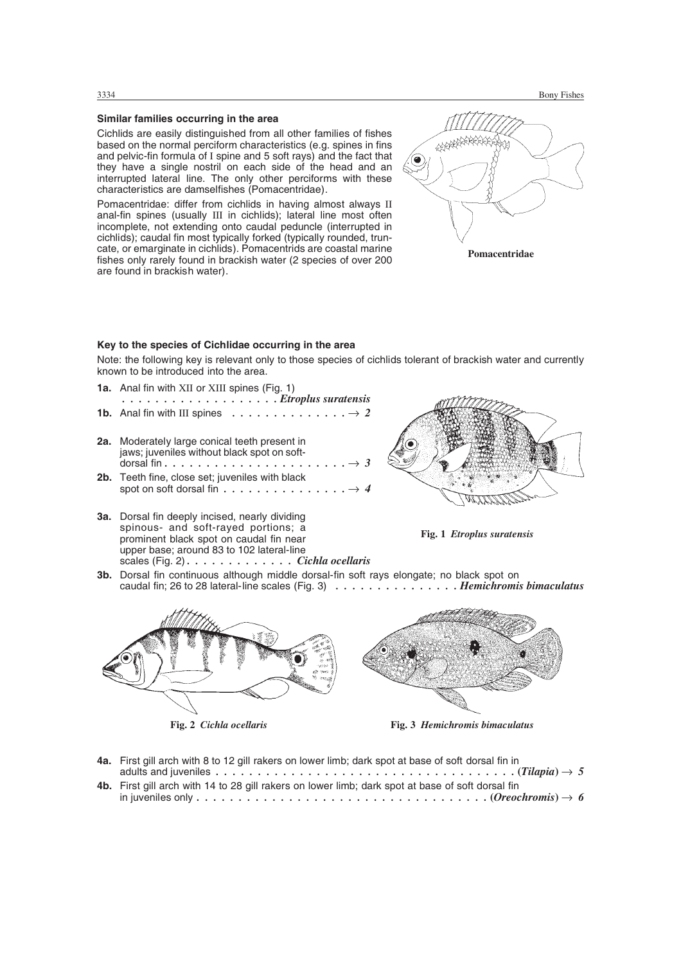# **Similar families occurring in the area**

Cichlids are easily distinguished from all other families of fishes based on the normal perciform characteristics (e.g. spines in fins and pelvic-fin formula of I spine and 5 soft rays) and the fact that they have a single nostril on each side of the head and an interrupted lateral line. The only other perciforms with these characteristics are damselfishes (Pomacentridae).

Pomacentridae: differ from cichlids in having almost always II anal-fin spines (usually III in cichlids); lateral line most often incomplete, not extending onto caudal peduncle (interrupted in cichlids); caudal fin most typically forked (typically rounded, truncate, or emarginate in cichlids). Pomacentrids are coastal marine fishes only rarely found in brackish water (2 species of over 200 are found in brackish water).



### **Key to the species of Cichlidae occurring in the area**

Note: the following key is relevant only to those species of cichlids tolerant of brackish water and currently known to be introduced into the area.

| <b>1a.</b> Anal fin with XII or XIII spines (Fig. 1)                                                          |
|---------------------------------------------------------------------------------------------------------------|
| Etroplus suratensis<br><b>1b.</b> Anal fin with III spines $\ldots \ldots \ldots \ldots \ldots \rightarrow 2$ |
| 2a. Moderately large conical teeth present in<br>jaws; juveniles without black spot on soft-                  |
| 2h Teeth fine close set inveniles with black                                                                  |

- **2b.** Teeth fine, close set; juveniles with black spot on soft dorsal fin . . . . . . . . . . .
- **3a.** Dorsal fin deeply incised, nearly dividing spinous- and soft-rayed portions; a prominent black spot on caudal fin near upper base; around 83 to 102 lateral-line scales (Fig. 2) *. . . . . . . . . . . . . Cichla ocellaris*





**3b.** Dorsal fin continuous although middle dorsal-fin soft rays elongate; no black spot on caudal fin; 26 to 28 lateral-line scales (Fig. 3) *. . . . . . . . . . . . . . . Hemichromis bimaculatus*



- **4a.** First gill arch with 8 to 12 gill rakers on lower limb; dark spot at base of soft dorsal fin in adults and juveniles  $\dots \dots \dots \dots \dots \dots \dots \dots \dots \dots \dots \dots \dots \dots$ .  $(Tilapia) \rightarrow 5$ **4b.** First gill arch with 14 to 28 gill rakers on lower limb; dark spot at base of soft dorsal fin
- in juveniles only  $\dots \dots \dots \dots \dots \dots \dots \dots \dots \dots \dots \dots$ .  $(Oneochromis) \rightarrow 6$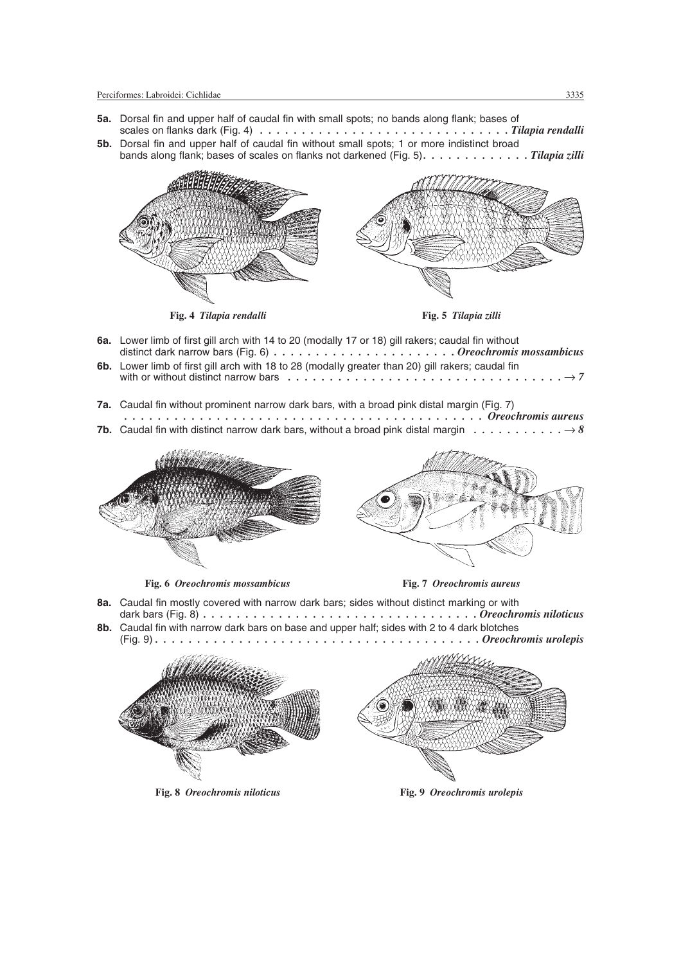- **5a.** Dorsal fin and upper half of caudal fin with small spots; no bands along flank; bases of scales on flanks dark (Fig. 4) *. . . . . . . . . . . . . . . . . . . . . . . . . . . . . . Tilapia rendalli*
- **5b.** Dorsal fin and upper half of caudal fin without small spots; 1 or more indistinct broad bands along flank; bases of scales on flanks not darkened (Fig. 5)*. . . . . . . . . . . . . Tilapia zilli*



**Fig. 4** *Tilapia rendalli* **Fig. 5** *Tilapia zilli*



- **6a.** Lower limb of first gill arch with 14 to 20 (modally 17 or 18) gill rakers; caudal fin without distinct dark narrow bars (Fig. 6) *. . . . . . . . . . . . . . . . . . . . . . Oreochromis mossambicus*
- **6b.** Lower limb of first gill arch with 18 to 28 (modally greater than 20) gill rakers; caudal fin with or without distinct narrow bars  $\dots \dots \dots \dots \dots \dots \dots \dots \dots \dots \dots \dots \dots \rightarrow 7$
- **7a.** Caudal fin without prominent narrow dark bars, with a broad pink distal margin (Fig. 7)

| <b>7b.</b> Caudal fin with distinct narrow dark bars, without a broad pink distal margin $\ldots \ldots \ldots \ldots \to 8$ |  |
|------------------------------------------------------------------------------------------------------------------------------|--|



**Fig. 6** *Oreochromis mossambicus* **Fig. 7** *Oreochromis aureus*



- **8a.** Caudal fin mostly covered with narrow dark bars; sides without distinct marking or with dark bars (Fig. 8) *. . . . . . . . . . . . . . . . . . . . . . . . . . . . . . . . . Oreochromis niloticus*
- **8b.** Caudal fin with narrow dark bars on base and upper half; sides with 2 to 4 dark blotches (Fig. 9) *. . . . . . . . . . . . . . . . . . . . . . . . . . . . . . . . . . . . . . . Oreochromis urolepis*



**Fig. 8** *Oreochromis niloticus* **Fig. 9** *Oreochromis urolepis*